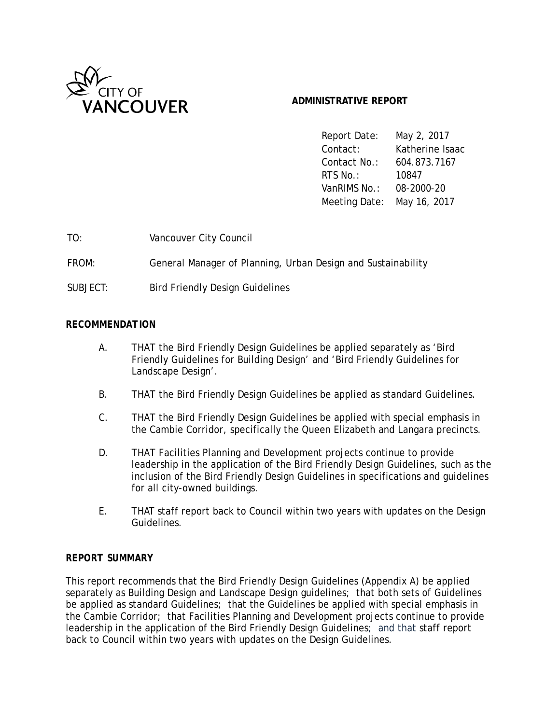

# **ADMINISTRATIVE REPORT**

Report Date: May 2, 2017 Contact: Katherine Isaac Contact No.: 604.873.7167 RTS No.: 10847 VanRIMS No.: 08-2000-20 Meeting Date: May 16, 2017

| TO:   | Vancouver City Council                                       |
|-------|--------------------------------------------------------------|
| FROM: | General Manager of Planning, Urban Design and Sustainability |

SUBJECT: Bird Friendly Design Guidelines

## *RECOMMENDATION*

- A. THAT the Bird Friendly Design Guidelines be applied separately as 'Bird Friendly Guidelines for Building Design' and 'Bird Friendly Guidelines for Landscape Design'.
- B. THAT the Bird Friendly Design Guidelines be applied as standard Guidelines.
- C. THAT the Bird Friendly Design Guidelines be applied with special emphasis in the Cambie Corridor, specifically the Queen Elizabeth and Langara precincts.
- D. THAT Facilities Planning and Development projects continue to provide leadership in the application of the Bird Friendly Design Guidelines, such as the inclusion of the Bird Friendly Design Guidelines in specifications and guidelines for all city-owned buildings.
- E. THAT staff report back to Council within two years with updates on the Design Guidelines.

## *REPORT SUMMARY*

This report recommends that the Bird Friendly Design Guidelines (Appendix A) be applied separately as Building Design and Landscape Design guidelines; that both sets of Guidelines be applied as standard Guidelines; that the Guidelines be applied with special emphasis in the Cambie Corridor; that Facilities Planning and Development projects continue to provide leadership in the application of the Bird Friendly Design Guidelines; and that staff report back to Council within two years with updates on the Design Guidelines.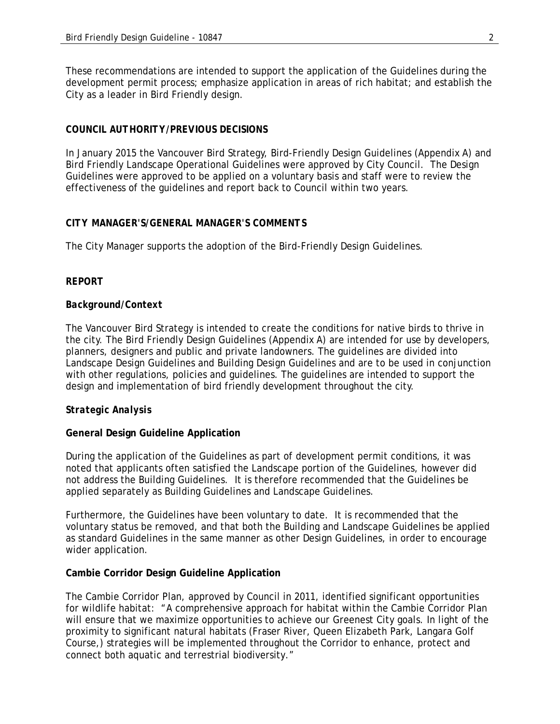These recommendations are intended to support the application of the Guidelines during the development permit process; emphasize application in areas of rich habitat; and establish the City as a leader in Bird Friendly design.

## *COUNCIL AUTHORITY/PREVIOUS DECISIONS*

In January 2015 the Vancouver Bird Strategy, Bird-Friendly Design Guidelines (Appendix A) and Bird Friendly Landscape Operational Guidelines were approved by City Council. The Design Guidelines were approved to be applied on a voluntary basis and staff were to review the effectiveness of the guidelines and report back to Council within two years.

## *CITY MANAGER'S/GENERAL MANAGER'S COMMENTS*

The City Manager supports the adoption of the Bird-Friendly Design Guidelines.

## *REPORT*

## *Background/Context*

The Vancouver Bird Strategy is intended to create the conditions for native birds to thrive in the city. The Bird Friendly Design Guidelines (Appendix A) are intended for use by developers, planners, designers and public and private landowners. The guidelines are divided into Landscape Design Guidelines and Building Design Guidelines and are to be used in conjunction with other regulations, policies and guidelines. The guidelines are intended to support the design and implementation of bird friendly development throughout the city.

## *Strategic Analysis*

### **General Design Guideline Application**

During the application of the Guidelines as part of development permit conditions, it was noted that applicants often satisfied the Landscape portion of the Guidelines, however did not address the Building Guidelines. It is therefore recommended that the Guidelines be applied separately as Building Guidelines and Landscape Guidelines.

Furthermore, the Guidelines have been voluntary to date. It is recommended that the voluntary status be removed, and that both the Building and Landscape Guidelines be applied as standard Guidelines in the same manner as other Design Guidelines, in order to encourage wider application.

### **Cambie Corridor Design Guideline Application**

The Cambie Corridor Plan, approved by Council in 2011, identified significant opportunities for wildlife habitat: "A comprehensive approach for habitat within the Cambie Corridor Plan will ensure that we maximize opportunities to achieve our Greenest City goals. In light of the proximity to significant natural habitats (Fraser River, Queen Elizabeth Park, Langara Golf Course,) strategies will be implemented throughout the Corridor to enhance, protect and connect both aquatic and terrestrial biodiversity."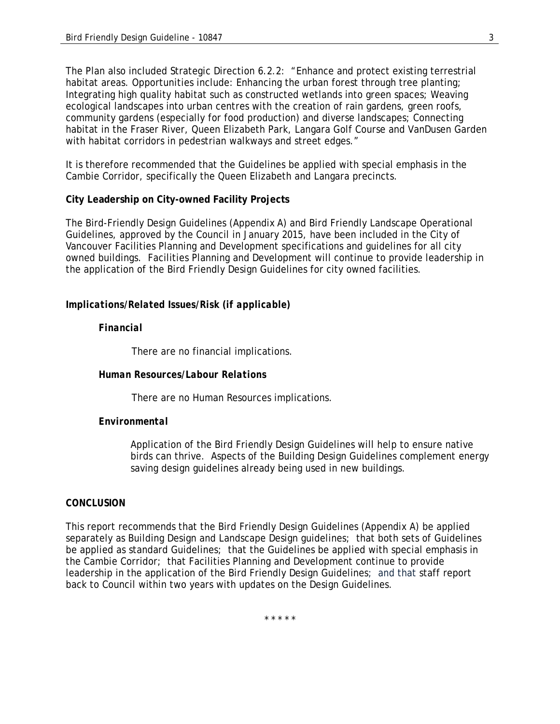The Plan also included Strategic Direction 6.2.2: "Enhance and protect existing terrestrial habitat areas. Opportunities include: Enhancing the urban forest through tree planting; Integrating high quality habitat such as constructed wetlands into green spaces; Weaving ecological landscapes into urban centres with the creation of rain gardens, green roofs, community gardens (especially for food production) and diverse landscapes; Connecting habitat in the Fraser River, Queen Elizabeth Park, Langara Golf Course and VanDusen Garden with habitat corridors in pedestrian walkways and street edges."

It is therefore recommended that the Guidelines be applied with special emphasis in the Cambie Corridor, specifically the Queen Elizabeth and Langara precincts.

## **City Leadership on City-owned Facility Projects**

The Bird-Friendly Design Guidelines (Appendix A) and Bird Friendly Landscape Operational Guidelines, approved by the Council in January 2015, have been included in the City of Vancouver Facilities Planning and Development specifications and guidelines for all city owned buildings. Facilities Planning and Development will continue to provide leadership in the application of the Bird Friendly Design Guidelines for city owned facilities.

## *Implications/Related Issues/Risk (if applicable)*

## *Financial*

There are no financial implications.

## *Human Resources/Labour Relations*

There are no Human Resources implications.

### *Environmental*

Application of the Bird Friendly Design Guidelines will help to ensure native birds can thrive. Aspects of the Building Design Guidelines complement energy saving design guidelines already being used in new buildings.

### *CONCLUSION*

This report recommends that the Bird Friendly Design Guidelines (Appendix A) be applied separately as Building Design and Landscape Design guidelines; that both sets of Guidelines be applied as standard Guidelines; that the Guidelines be applied with special emphasis in the Cambie Corridor; that Facilities Planning and Development continue to provide leadership in the application of the Bird Friendly Design Guidelines; and that staff report back to Council within two years with updates on the Design Guidelines.

\* \* \* \* \*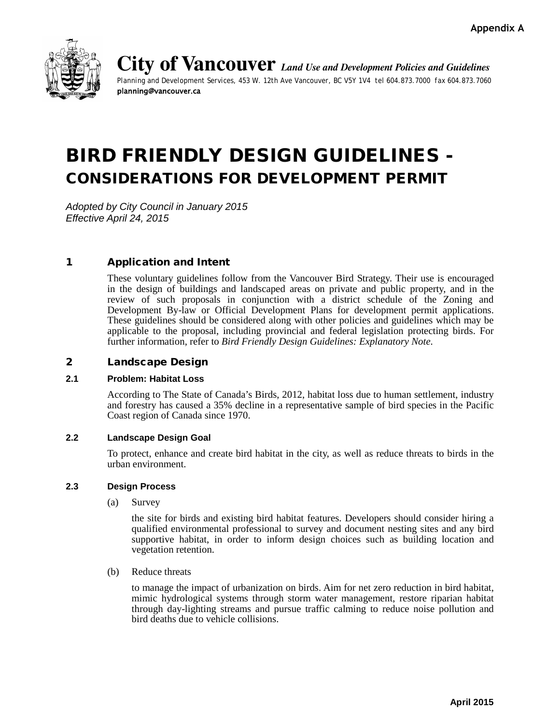

**City of Vancouver** *Land Use and Development Policies and Guidelines Planning and Development Services, 453 W. 12th Ave Vancouver, BC V5Y 1V4 tel 604.873.7000 fax 604.873.7060* planning@vancouver.ca

# BIRD FRIENDLY DESIGN GUIDELINES - CONSIDERATIONS FOR DEVELOPMENT PERMIT

*Adopted by City Council in January 2015 Effective April 24, 2015*

# 1 Application and Intent

These voluntary guidelines follow from the Vancouver Bird Strategy. Their use is encouraged in the design of buildings and landscaped areas on private and public property, and in the review of such proposals in conjunction with a district schedule of the Zoning and Development By-law or Official Development Plans for development permit applications. These guidelines should be considered along with other policies and guidelines which may be applicable to the proposal, including provincial and federal legislation protecting birds. For further information, refer to *Bird Friendly Design Guidelines: Explanatory Note*.

### 2 Landscape Design

#### **2.1 Problem: Habitat Loss**

According to The State of Canada's Birds, 2012, habitat loss due to human settlement, industry and forestry has caused a 35% decline in a representative sample of bird species in the Pacific Coast region of Canada since 1970.

#### **2.2 Landscape Design Goal**

To protect, enhance and create bird habitat in the city, as well as reduce threats to birds in the urban environment.

#### **2.3 Design Process**

(a) Survey

the site for birds and existing bird habitat features. Developers should consider hiring a qualified environmental professional to survey and document nesting sites and any bird supportive habitat, in order to inform design choices such as building location and vegetation retention.

(b) Reduce threats

to manage the impact of urbanization on birds. Aim for net zero reduction in bird habitat, mimic hydrological systems through storm water management, restore riparian habitat through day-lighting streams and pursue traffic calming to reduce noise pollution and bird deaths due to vehicle collisions.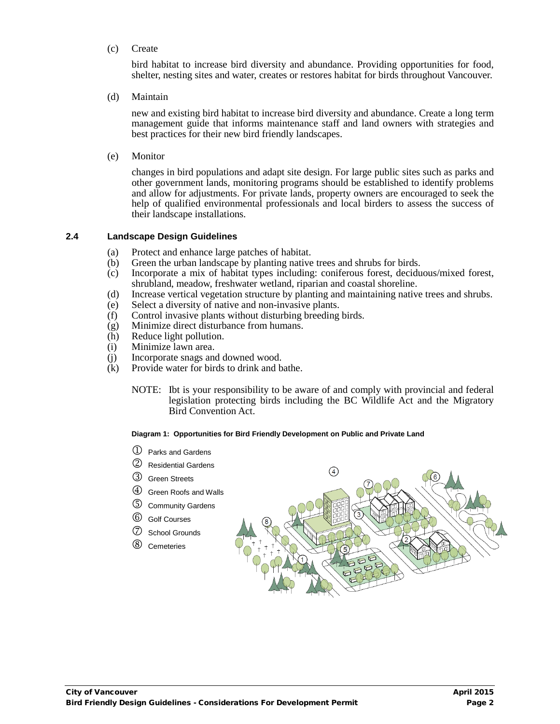(c) Create

bird habitat to increase bird diversity and abundance. Providing opportunities for food, shelter, nesting sites and water, creates or restores habitat for birds throughout Vancouver.

(d) Maintain

new and existing bird habitat to increase bird diversity and abundance. Create a long term management guide that informs maintenance staff and land owners with strategies and best practices for their new bird friendly landscapes.

(e) Monitor

changes in bird populations and adapt site design. For large public sites such as parks and other government lands, monitoring programs should be established to identify problems and allow for adjustments. For private lands, property owners are encouraged to seek the help of qualified environmental professionals and local birders to assess the success of their landscape installations.

#### **2.4 Landscape Design Guidelines**

- (a) Protect and enhance large patches of habitat.
- (b) Green the urban landscape by planting native trees and shrubs for birds.
- (c) Incorporate a mix of habitat types including: coniferous forest, deciduous/mixed forest, shrubland, meadow, freshwater wetland, riparian and coastal shoreline.
- (d) Increase vertical vegetation structure by planting and maintaining native trees and shrubs.
- (e) Select a diversity of native and non-invasive plants.
- (f) Control invasive plants without disturbing breeding birds.
- (g) Minimize direct disturbance from humans.<br>(h) Reduce light pollution.
- Reduce light pollution.
- (i) Minimize lawn area.
- (j) Incorporate snags and downed wood.<br>(k) Provide water for birds to drink and b
- Provide water for birds to drink and bathe.
	- NOTE: Ibt is your responsibility to be aware of and comply with provincial and federal legislation protecting birds including the BC Wildlife Act and the Migratory Bird Convention Act.

#### **Diagram 1: Opportunities for Bird Friendly Development on Public and Private Land**

- $\mathbb D$  Parks and Gardens
- Residential Gardens
- Green Streets
- Green Roofs and Walls
- Community Gardens
- Golf Courses
- School Grounds
- Cemeteries

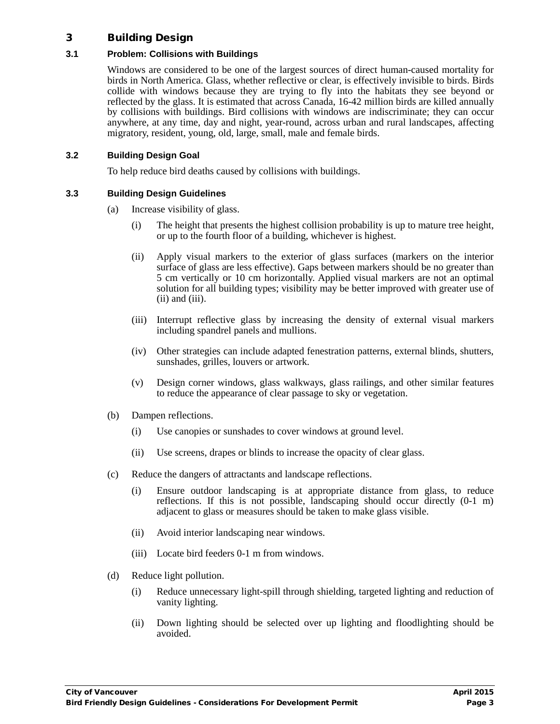## 3 Building Design

## **3.1 Problem: Collisions with Buildings**

Windows are considered to be one of the largest sources of direct human-caused mortality for birds in North America. Glass, whether reflective or clear, is effectively invisible to birds. Birds collide with windows because they are trying to fly into the habitats they see beyond or reflected by the glass. It is estimated that across Canada, 16-42 million birds are killed annually by collisions with buildings. Bird collisions with windows are indiscriminate; they can occur anywhere, at any time, day and night, year-round, across urban and rural landscapes, affecting migratory, resident, young, old, large, small, male and female birds.

## **3.2 Building Design Goal**

To help reduce bird deaths caused by collisions with buildings.

## **3.3 Building Design Guidelines**

- (a) Increase visibility of glass.
	- (i) The height that presents the highest collision probability is up to mature tree height, or up to the fourth floor of a building, whichever is highest.
	- (ii) Apply visual markers to the exterior of glass surfaces (markers on the interior surface of glass are less effective). Gaps between markers should be no greater than 5 cm vertically or 10 cm horizontally. Applied visual markers are not an optimal solution for all building types; visibility may be better improved with greater use of (ii) and (iii).
	- (iii) Interrupt reflective glass by increasing the density of external visual markers including spandrel panels and mullions.
	- (iv) Other strategies can include adapted fenestration patterns, external blinds, shutters, sunshades, grilles, louvers or artwork.
	- (v) Design corner windows, glass walkways, glass railings, and other similar features to reduce the appearance of clear passage to sky or vegetation.
- (b) Dampen reflections.
	- (i) Use canopies or sunshades to cover windows at ground level.
	- (ii) Use screens, drapes or blinds to increase the opacity of clear glass.
- (c) Reduce the dangers of attractants and landscape reflections.
	- (i) Ensure outdoor landscaping is at appropriate distance from glass, to reduce reflections. If this is not possible, landscaping should occur directly (0-1 m) adjacent to glass or measures should be taken to make glass visible.
	- (ii) Avoid interior landscaping near windows.
	- (iii) Locate bird feeders 0-1 m from windows.
- (d) Reduce light pollution.
	- (i) Reduce unnecessary light-spill through shielding, targeted lighting and reduction of vanity lighting.
	- (ii) Down lighting should be selected over up lighting and floodlighting should be avoided.